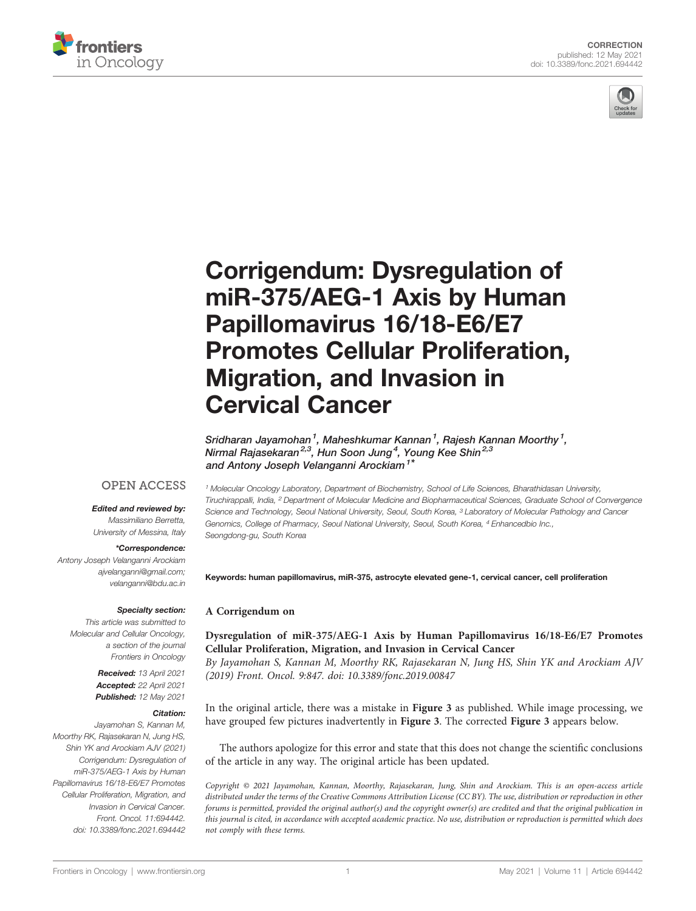



# [Corrigendum: Dysregulation of](https://www.frontiersin.org/articles/10.3389/fonc.2021.694442/full) [miR-375/AEG-1 Axis by Human](https://www.frontiersin.org/articles/10.3389/fonc.2021.694442/full) [Papillomavirus 16/18-E6/E7](https://www.frontiersin.org/articles/10.3389/fonc.2021.694442/full) [Promotes Cellular Proliferation,](https://www.frontiersin.org/articles/10.3389/fonc.2021.694442/full) [Migration, and Invasion in](https://www.frontiersin.org/articles/10.3389/fonc.2021.694442/full) [Cervical Cancer](https://www.frontiersin.org/articles/10.3389/fonc.2021.694442/full)

Sridharan Jayamohan<sup>1</sup>, Maheshkumar Kannan<sup>1</sup>, Rajesh Kannan Moorthy<sup>1</sup>, Nirmal Rajasekaran<sup>2,3</sup>, Hun Soon Jung<sup>4</sup>, Young Kee Shin<sup>2,3</sup> and Antony Joseph Velanganni Arockiam<sup>1\*</sup>

# **OPEN ACCESS**

#### Edited and reviewed by:

Massimiliano Berretta, University of Messina, Italy

#### \*Correspondence:

Antony Joseph Velanganni Arockiam [ajvelanganni@gmail.com;](mailto:ajvelanganni@gmail.com) [velanganni@bdu.ac.in](mailto:velanganni@bdu.ac.in)

### Specialty section:

This article was submitted to Molecular and Cellular Oncology, a section of the journal Frontiers in Oncology

> Received: 13 April 2021 Accepted: 22 April 2021 Published: 12 May 2021

#### Citation:

Jayamohan S, Kannan M, Moorthy RK, Rajasekaran N, Jung HS, Shin YK and Arockiam AJV (2021) Corrigendum: Dysregulation of miR-375/AEG-1 Axis by Human Papillomavirus 16/18-E6/E7 Promotes Cellular Proliferation, Migration, and Invasion in Cervical Cancer. Front. Oncol. 11:694442. [doi: 10.3389/fonc.2021.694442](https://doi.org/10.3389/fonc.2021.694442)

<sup>1</sup> Molecular Oncology Laboratory, Department of Biochemistry, School of Life Sciences, Bharathidasan University, Tiruchirappalli, India, <sup>2</sup> Department of Molecular Medicine and Biopharmaceutical Sciences, Graduate School of Convergence Science and Technology, Seoul National University, Seoul, South Korea, <sup>3</sup> Laboratory of Molecular Pathology and Cancer Genomics, College of Pharmacy, Seoul National University, Seoul, South Korea, <sup>4</sup> Enhancedbio Inc., Seongdong-gu, South Korea

Keywords: human papillomavirus, miR-375, astrocyte elevated gene-1, cervical cancer, cell proliferation

## A Corrigendum on

[Dysregulation of miR-375/AEG-1 Axis by Human Papillomavirus 16/18-E6/E7 Promotes](https://www.frontiersin.org/articles/10.3389/fonc.2019.00847/full) [Cellular Proliferation, Migration, and Invasion in Cervical Cancer](https://www.frontiersin.org/articles/10.3389/fonc.2019.00847/full)

By Jayamohan S, Kannan M, Moorthy RK, Rajasekaran N, Jung HS, Shin YK and Arockiam AJV (2019) Front. Oncol. 9:847. doi: [10.3389/fonc.2019.00847](https://doi.org/10.3389/fonc.2019.00847)

In the original article, there was a mistake in Figure 3 as published. While image processing, we have grouped few pictures inadvertently in Figure 3. The corrected Figure 3 appears below.

The authors apologize for this error and state that this does not change the scientific conclusions of the article in any way. The original article has been updated.

Copyright © 2021 Jayamohan, Kannan, Moorthy, Rajasekaran, Jung, Shin and Arockiam. This is an open-access article distributed under the terms of the [Creative Commons Attribution License \(CC BY\).](http://creativecommons.org/licenses/by/4.0/) The use, distribution or reproduction in other forums is permitted, provided the original author(s) and the copyright owner(s) are credited and that the original publication in this journal is cited, in accordance with accepted academic practice. No use, distribution or reproduction is permitted which does not comply with these terms.